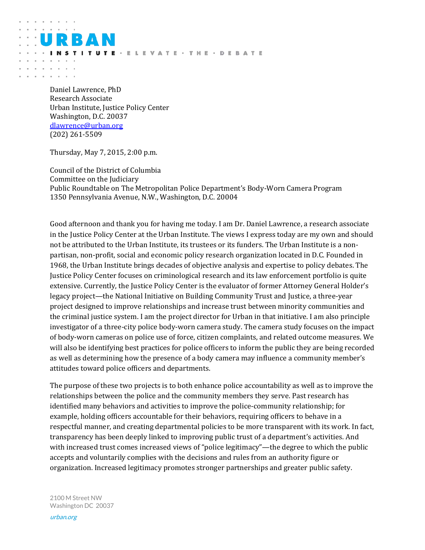Daniel Lawrence, PhD Research Associate Urban Institute, Justice Policy Center Washington, D.C. 20037 [dlawrence@urban.org](mailto:dlawrence@urban.org) (202) 261-5509

R A I

and a series and

and a strong of the and a state of

Thursday, May 7, 2015, 2:00 p.m.

Council of the District of Columbia Committee on the Judiciary Public Roundtable on The Metropolitan Police Department's Body-Worn Camera Program 1350 Pennsylvania Avenue, N.W., Washington, D.C. 20004

**ITUTE · ELEVATE · THE · DEBATE** 

Good afternoon and thank you for having me today. I am Dr. Daniel Lawrence, a research associate in the Justice Policy Center at the Urban Institute. The views I express today are my own and should not be attributed to the Urban Institute, its trustees or its funders. The Urban Institute is a nonpartisan, non-profit, social and economic policy research organization located in D.C. Founded in 1968, the Urban Institute brings decades of objective analysis and expertise to policy debates. The Justice Policy Center focuses on criminological research and its law enforcement portfolio is quite extensive. Currently, the Justice Policy Center is the evaluator of former Attorney General Holder's legacy project—the National Initiative on Building Community Trust and Justice, a three-year project designed to improve relationships and increase trust between minority communities and the criminal justice system. I am the project director for Urban in that initiative. I am also principle investigator of a three-city police body-worn camera study. The camera study focuses on the impact of body-worn cameras on police use of force, citizen complaints, and related outcome measures. We will also be identifying best practices for police officers to inform the public they are being recorded as well as determining how the presence of a body camera may influence a community member's attitudes toward police officers and departments.

The purpose of these two projects is to both enhance police accountability as well as to improve the relationships between the police and the community members they serve. Past research has identified many behaviors and activities to improve the police-community relationship; for example, holding officers accountable for their behaviors, requiring officers to behave in a respectful manner, and creating departmental policies to be more transparent with its work. In fact, transparency has been deeply linked to improving public trust of a department's activities. And with increased trust comes increased views of "police legitimacy"—the degree to which the public accepts and voluntarily complies with the decisions and rules from an authority figure or organization. Increased legitimacy promotes stronger partnerships and greater public safety.

2100 M Street NW Washington DC 20037

urban.org